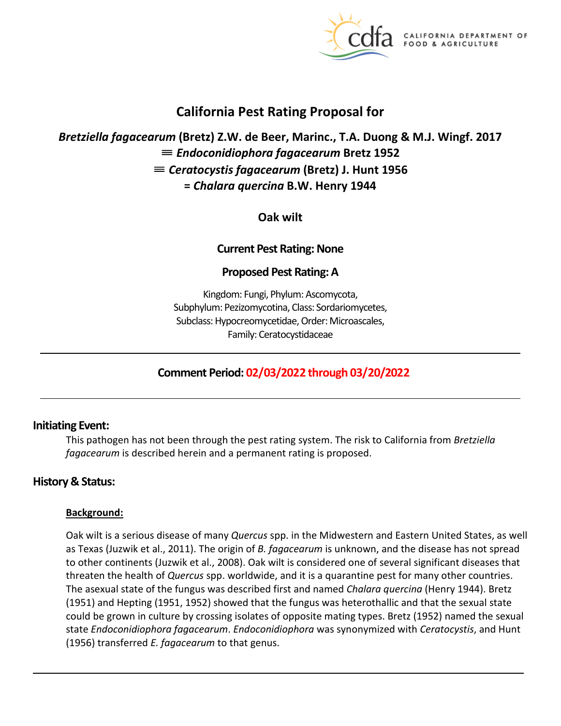

**CALIFORNIA DEPARTMENT OF** FOOD & AGRICULTURE

# **California Pest Rating Proposal for**

# *Bretziella fagacearum* **(Bretz) Z.W. de Beer, Marinc., T.A. Duong & M.J. Wingf. 2017**  ≡ *Endoconidiophora fagacearum* **Bretz 1952**  ≡ *Ceratocystis fagacearum* **(Bretz) J. Hunt 1956 =** *Chalara quercina* **B.W. Henry 1944**

**Oak wilt** 

## **Current Pest Rating: None**

## **Proposed Pest Rating: A**

Kingdom: Fungi, Phylum: Ascomycota, Subphylum: Pezizomycotina, Class: Sordariomycetes, Subclass: Hypocreomycetidae, Order: Microascales, Family: Ceratocystidaceae

## **Comment Period: 02/03/2022 through 03/20/2022**

## **Initiating Event:**

This pathogen has not been through the pest rating system. The risk to California from *Bretziella fagacearum* is described herein and a permanent rating is proposed.

## **History & Status:**

#### **Background:**

Oak wilt is a serious disease of many *Quercus* spp. in the Midwestern and Eastern United States, as well as Texas (Juzwik et al., 2011). The origin of *B. fagacearum* is unknown, and the disease has not spread to other continents (Juzwik et al., 2008). Oak wilt is considered one of several significant diseases that threaten the health of *Quercus* spp. worldwide, and it is a quarantine pest for many other countries. The asexual state of the fungus was described first and named *Chalara quercina* (Henry 1944). Bretz (1951) and Hepting (1951, 1952) showed that the fungus was heterothallic and that the sexual state could be grown in culture by crossing isolates of opposite mating types. Bretz (1952) named the sexual state *Endoconidiophora fagacearum*. *Endoconidiophora* was synonymized with *Ceratocystis*, and Hunt (1956) transferred *E. fagacearum* to that genus.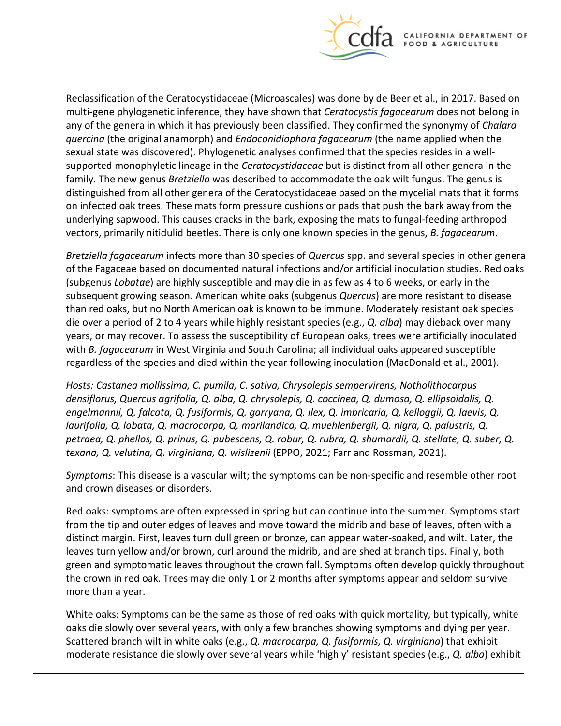

Reclassification of the Ceratocystidaceae (Microascales) was done by de Beer et al., in 2017. Based on multi-gene phylogenetic inference, they have shown that *Ceratocystis fagacearum* does not belong in any of the genera in which it has previously been classified. They confirmed the synonymy of *Chalara quercina* (the original anamorph) and *Endoconidiophora fagacearum* (the name applied when the sexual state was discovered). Phylogenetic analyses confirmed that the species resides in a wellsupported monophyletic lineage in the *Ceratocystidaceae* but is distinct from all other genera in the family. The new genus *Bretziella* was described to accommodate the oak wilt fungus. The genus is distinguished from all other genera of the Ceratocystidaceae based on the mycelial mats that it forms on infected oak trees. These mats form pressure cushions or pads that push the bark away from the underlying sapwood. This causes cracks in the bark, exposing the mats to fungal-feeding arthropod vectors, primarily nitidulid beetles. There is only one known species in the genus, *B. fagacearum*.

*Bretziella fagacearum* infects more than 30 species of *Quercus* spp. and several species in other genera of the Fagaceae based on documented natural infections and/or artificial inoculation studies. Red oaks (subgenus *Lobatae*) are highly susceptible and may die in as few as 4 to 6 weeks, or early in the subsequent growing season. American white oaks (subgenus *Quercus*) are more resistant to disease than red oaks, but no North American oak is known to be immune. Moderately resistant oak species die over a period of 2 to 4 years while highly resistant species (e.g., *Q. alba*) may dieback over many years, or may recover. To assess the susceptibility of European oaks, trees were artificially inoculated with *B. fagacearum* in West Virginia and South Carolina; all individual oaks appeared susceptible regardless of the species and died within the year following inoculation (MacDonald et al., 2001).

*Hosts: Castanea mollissima, C. pumila, C. sativa, Chrysolepis sempervirens, Notholithocarpus densiflorus, Quercus agrifolia, Q. alba, Q. chrysolepis, Q. coccinea, Q. dumosa, Q. ellipsoidalis, Q. engelmannii, Q. falcata, Q. fusiformis, Q. garryana, Q. ilex, Q. imbricaria, Q. kelloggii, Q. laevis, Q. laurifolia, Q. lobata, Q. macrocarpa, Q. marilandica, Q. muehlenbergii, Q. nigra, Q. palustris, Q. petraea, Q. phellos, Q. prinus, Q. pubescens, Q. robur, Q. rubra, Q. shumardii, Q. stellate, Q. suber, Q. texana, Q. velutina, Q. virginiana, Q. wislizenii* (EPPO, 2021; Farr and Rossman, 2021).

*Symptoms*: This disease is a vascular wilt; the symptoms can be non-specific and resemble other root and crown diseases or disorders.

Red oaks: symptoms are often expressed in spring but can continue into the summer. Symptoms start from the tip and outer edges of leaves and move toward the midrib and base of leaves, often with a distinct margin. First, leaves turn dull green or bronze, can appear water-soaked, and wilt. Later, the leaves turn yellow and/or brown, curl around the midrib, and are shed at branch tips. Finally, both green and symptomatic leaves throughout the crown fall. Symptoms often develop quickly throughout the crown in red oak. Trees may die only 1 or 2 months after symptoms appear and seldom survive more than a year.

White oaks: Symptoms can be the same as those of red oaks with quick mortality, but typically, white oaks die slowly over several years, with only a few branches showing symptoms and dying per year. Scattered branch wilt in white oaks (e.g., *Q. macrocarpa, Q. fusiformis, Q. virginiana*) that exhibit moderate resistance die slowly over several years while 'highly' resistant species (e.g., *Q. alba*) exhibit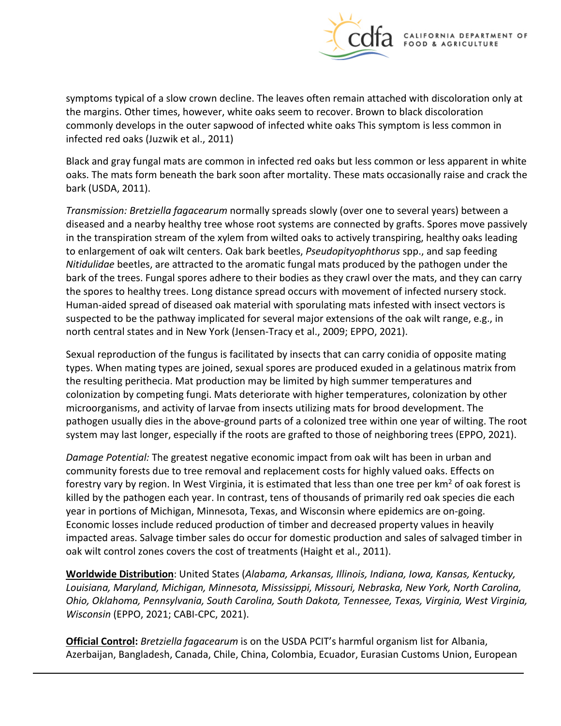

symptoms typical of a slow crown decline. The leaves often remain attached with discoloration only at the margins. Other times, however, white oaks seem to recover. Brown to black discoloration commonly develops in the outer sapwood of infected white oaks This symptom is less common in infected red oaks (Juzwik et al., 2011)

Black and gray fungal mats are common in infected red oaks but less common or less apparent in white oaks. The mats form beneath the bark soon after mortality. These mats occasionally raise and crack the bark (USDA, 2011).

*Transmission: Bretziella fagacearum* normally spreads slowly (over one to several years) between a diseased and a nearby healthy tree whose root systems are connected by grafts. Spores move passively in the transpiration stream of the xylem from wilted oaks to actively transpiring, healthy oaks leading to enlargement of oak wilt centers. Oak bark beetles, *Pseudopityophthorus* spp., and sap feeding *Nitidulidae* beetles, are attracted to the aromatic fungal mats produced by the pathogen under the bark of the trees. Fungal spores adhere to their bodies as they crawl over the mats, and they can carry the spores to healthy trees. Long distance spread occurs with movement of infected nursery stock. Human-aided spread of diseased oak material with sporulating mats infested with insect vectors is suspected to be the pathway implicated for several major extensions of the oak wilt range, e.g., in north central states and in New York (Jensen-Tracy et al., 2009; EPPO, 2021).

Sexual reproduction of the fungus is facilitated by insects that can carry conidia of opposite mating types. When mating types are joined, sexual spores are produced exuded in a gelatinous matrix from the resulting perithecia. Mat production may be limited by high summer temperatures and colonization by competing fungi. Mats deteriorate with higher temperatures, colonization by other microorganisms, and activity of larvae from insects utilizing mats for brood development. The pathogen usually dies in the above-ground parts of a colonized tree within one year of wilting. The root system may last longer, especially if the roots are grafted to those of neighboring trees (EPPO, 2021).

*Damage Potential:* The greatest negative economic impact from oak wilt has been in urban and community forests due to tree removal and replacement costs for highly valued oaks. Effects on forestry vary by region. In West Virginia, it is estimated that less than one tree per  $km<sup>2</sup>$  of oak forest is killed by the pathogen each year. In contrast, tens of thousands of primarily red oak species die each year in portions of Michigan, Minnesota, Texas, and Wisconsin where epidemics are on-going. Economic losses include reduced production of timber and decreased property values in heavily impacted areas. Salvage timber sales do occur for domestic production and sales of salvaged timber in oak wilt control zones covers the cost of treatments (Haight et al., 2011).

**Worldwide Distribution**: United States (*Alabama, Arkansas, Illinois, Indiana, Iowa, Kansas, Kentucky, Louisiana, Maryland, Michigan, Minnesota, Mississippi, Missouri, Nebraska, New York, North Carolina, Ohio, Oklahoma, Pennsylvania, South Carolina, South Dakota, Tennessee, Texas, Virginia, West Virginia, Wisconsin* (EPPO, 2021; CABI-CPC, 2021).

**Official Control:** *Bretziella fagacearum* is on the USDA PCIT's harmful organism list for Albania, Azerbaijan, Bangladesh, Canada, Chile, China, Colombia, Ecuador, Eurasian Customs Union, European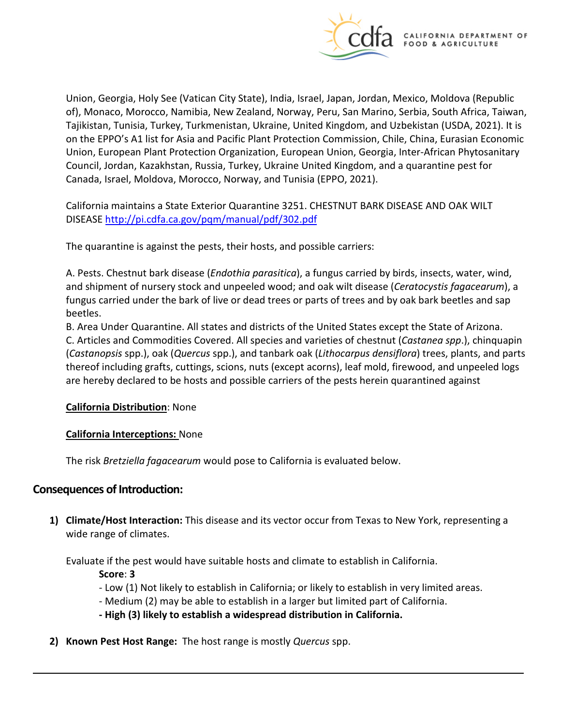

Union, Georgia, Holy See (Vatican City State), India, Israel, Japan, Jordan, Mexico, Moldova (Republic of), Monaco, Morocco, Namibia, New Zealand, Norway, Peru, San Marino, Serbia, South Africa, Taiwan, Tajikistan, Tunisia, Turkey, Turkmenistan, Ukraine, United Kingdom, and Uzbekistan (USDA, 2021). It is on the EPPO's A1 list for Asia and Pacific Plant Protection Commission, Chile, China, Eurasian Economic Union, European Plant Protection Organization, European Union, Georgia, Inter-African Phytosanitary Council, Jordan, Kazakhstan, Russia, Turkey, Ukraine United Kingdom, and a quarantine pest for Canada, Israel, Moldova, Morocco, Norway, and Tunisia (EPPO, 2021).

California maintains a State Exterior Quarantine 3251. CHESTNUT BARK DISEASE AND OAK WILT DISEASE<http://pi.cdfa.ca.gov/pqm/manual/pdf/302.pdf>

The quarantine is against the pests, their hosts, and possible carriers:

A. Pests. Chestnut bark disease (*Endothia parasitica*), a fungus carried by birds, insects, water, wind, and shipment of nursery stock and unpeeled wood; and oak wilt disease (*Ceratocystis fagacearum*), a fungus carried under the bark of live or dead trees or parts of trees and by oak bark beetles and sap beetles.

B. Area Under Quarantine. All states and districts of the United States except the State of Arizona. C. Articles and Commodities Covered. All species and varieties of chestnut (*Castanea spp*.), chinquapin (*Castanopsis* spp.), oak (*Quercus* spp.), and tanbark oak (*Lithocarpus densiflora*) trees, plants, and parts thereof including grafts, cuttings, scions, nuts (except acorns), leaf mold, firewood, and unpeeled logs are hereby declared to be hosts and possible carriers of the pests herein quarantined against

#### **California Distribution**: None

#### **California Interceptions:** None

The risk *Bretziella fagacearum* would pose to California is evaluated below.

## **Consequences of Introduction:**

**1) Climate/Host Interaction:** This disease and its vector occur from Texas to New York, representing a wide range of climates.

Evaluate if the pest would have suitable hosts and climate to establish in California.

**Score**: **3** 

- Low (1) Not likely to establish in California; or likely to establish in very limited areas.
- Medium (2) may be able to establish in a larger but limited part of California.
- **- High (3) likely to establish a widespread distribution in California.**
- **2) Known Pest Host Range:** The host range is mostly *Quercus* spp.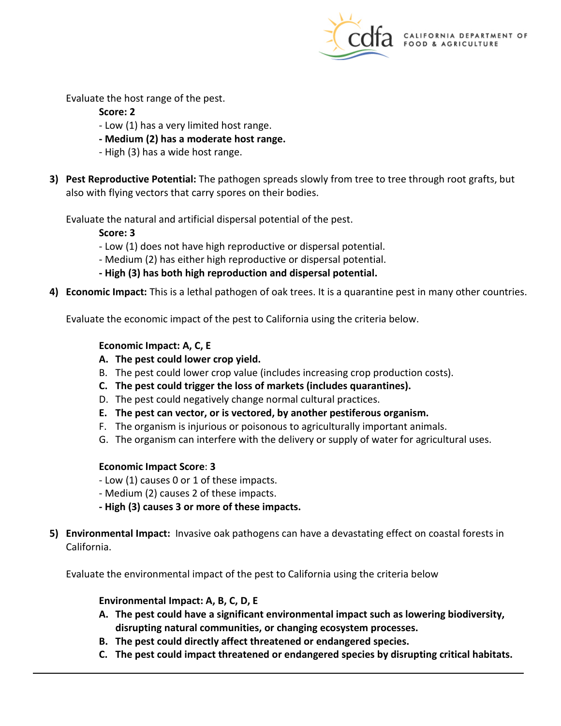

Evaluate the host range of the pest.

### **Score: 2**

- Low (1) has a very limited host range.
- **- Medium (2) has a moderate host range.**
- High (3) has a wide host range.
- **3) Pest Reproductive Potential:** The pathogen spreads slowly from tree to tree through root grafts, but also with flying vectors that carry spores on their bodies.

Evaluate the natural and artificial dispersal potential of the pest.

**Score: 3** 

- Low (1) does not have high reproductive or dispersal potential.
- Medium (2) has either high reproductive or dispersal potential.
- **- High (3) has both high reproduction and dispersal potential.**
- **4) Economic Impact:** This is a lethal pathogen of oak trees. It is a quarantine pest in many other countries.

Evaluate the economic impact of the pest to California using the criteria below.

## **Economic Impact: A, C, E**

- **A. The pest could lower crop yield.**
- B. The pest could lower crop value (includes increasing crop production costs).
- **C. The pest could trigger the loss of markets (includes quarantines).**
- D. The pest could negatively change normal cultural practices.
- **E. The pest can vector, or is vectored, by another pestiferous organism.**
- F. The organism is injurious or poisonous to agriculturally important animals.
- G. The organism can interfere with the delivery or supply of water for agricultural uses.

## **Economic Impact Score**: **3**

- Low (1) causes 0 or 1 of these impacts.
- Medium (2) causes 2 of these impacts.
- **- High (3) causes 3 or more of these impacts.**
- **5) Environmental Impact:** Invasive oak pathogens can have a devastating effect on coastal forests in California.

Evaluate the environmental impact of the pest to California using the criteria below

## **Environmental Impact: A, B, C, D, E**

- **A. The pest could have a significant environmental impact such as lowering biodiversity, disrupting natural communities, or changing ecosystem processes.**
- **B. The pest could directly affect threatened or endangered species.**
- **C. The pest could impact threatened or endangered species by disrupting critical habitats.**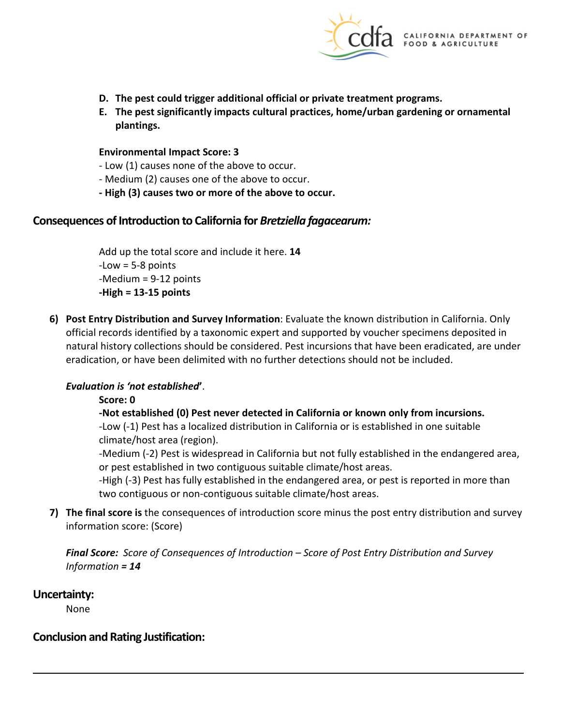

- **D. The pest could trigger additional official or private treatment programs.**
- **E. The pest significantly impacts cultural practices, home/urban gardening or ornamental plantings.**

#### **Environmental Impact Score: 3**

- Low (1) causes none of the above to occur.
- Medium (2) causes one of the above to occur.
- **- High (3) causes two or more of the above to occur.**

### **Consequences of Introduction to California for** *Bretziella fagacearum:*

Add up the total score and include it here. **14**   $-Low = 5-8$  points -Medium = 9-12 points **-High = 13-15 points** 

**6) Post Entry Distribution and Survey Information**: Evaluate the known distribution in California. Only official records identified by a taxonomic expert and supported by voucher specimens deposited in natural history collections should be considered. Pest incursions that have been eradicated, are under eradication, or have been delimited with no further detections should not be included.

#### *Evaluation is 'not established***'**.

#### **Score: 0**

#### **-Not established (0) Pest never detected in California or known only from incursions.**

-Low (-1) Pest has a localized distribution in California or is established in one suitable climate/host area (region).

-Medium (-2) Pest is widespread in California but not fully established in the endangered area, or pest established in two contiguous suitable climate/host areas.

-High (-3) Pest has fully established in the endangered area, or pest is reported in more than two contiguous or non-contiguous suitable climate/host areas.

**7) The final score is** the consequences of introduction score minus the post entry distribution and survey information score: (Score)

*Final Score: Score of Consequences of Introduction – Score of Post Entry Distribution and Survey Information = 14* 

## **Uncertainty:**

None

## **Conclusion and Rating Justification:**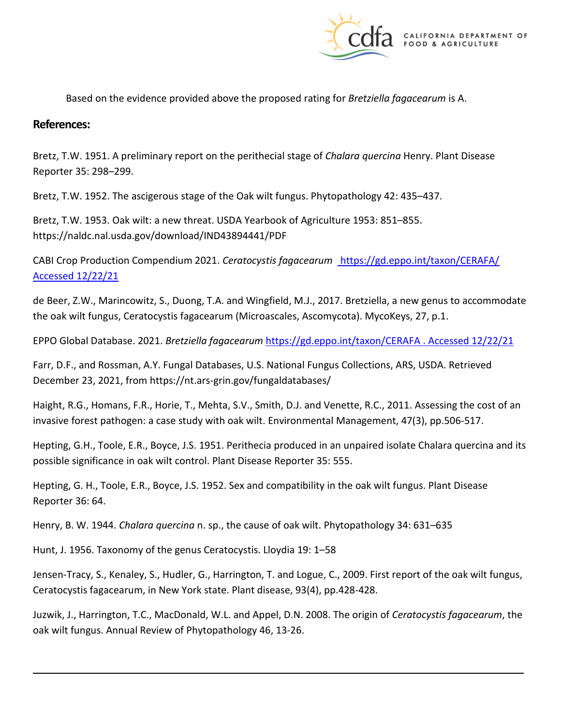

Based on the evidence provided above the proposed rating for *Bretziella fagacearum* is A.

#### **References:**

Bretz, T.W. 1951. A preliminary report on the perithecial stage of *Chalara quercina* Henry. Plant Disease Reporter 35: 298–299.

Bretz, T.W. 1952. The ascigerous stage of the Oak wilt fungus. Phytopathology 42: 435–437.

Bretz, T.W. 1953. Oak wilt: a new threat. USDA Yearbook of Agriculture 1953: 851–855. <https://naldc.nal.usda.gov/download/IND43894441/PDF>

CABI Crop Production Compendium 2021. *Ceratocystis fagacearum* [https://gd.eppo.int/taxon/CERAFA/](https://gd.eppo.int/taxon/CERAFA/%20Accessed%2012/22/21)  [Accessed 12/22/21](https://gd.eppo.int/taxon/CERAFA/%20Accessed%2012/22/21) 

de Beer, Z.W., Marincowitz, S., Duong, T.A. and Wingfield, M.J., 2017. Bretziella, a new genus to accommodate the oak wilt fungus, Ceratocystis fagacearum (Microascales, Ascomycota). MycoKeys, 27, p.1.

EPPO Global Database. 2021. *Bretziella fagacearum* [https://gd.eppo.int/taxon/CERAFA . Accessed 12/22/21](https://gd.eppo.int/taxon/CERAFA%20.%20Accessed%2012/22/21) 

Farr, D.F., and Rossman, A.Y. Fungal Databases, U.S. National Fungus Collections, ARS, USDA. Retrieved December 23, 2021, from [https://nt.ars-grin.gov/fungaldatabases/](https://nt.ars-grin.gov/fungaldatabases)

Haight, R.G., Homans, F.R., Horie, T., Mehta, S.V., Smith, D.J. and Venette, R.C., 2011. Assessing the cost of an invasive forest pathogen: a case study with oak wilt. Environmental Management, 47(3), pp.506-517.

Hepting, G.H., Toole, E.R., Boyce, J.S. 1951. Perithecia produced in an unpaired isolate Chalara quercina and its possible significance in oak wilt control. Plant Disease Reporter 35: 555.

Hepting, G. H., Toole, E.R., Boyce, J.S. 1952. Sex and compatibility in the oak wilt fungus. Plant Disease Reporter 36: 64.

Henry, B. W. 1944. *Chalara quercina* n. sp., the cause of oak wilt. Phytopathology 34: 631–635

Hunt, J. 1956. Taxonomy of the genus Ceratocystis. Lloydia 19: 1–58

Jensen-Tracy, S., Kenaley, S., Hudler, G., Harrington, T. and Logue, C., 2009. First report of the oak wilt fungus, Ceratocystis fagacearum, in New York state. Plant disease, 93(4), pp.428-428.

Juzwik, J., Harrington, T.C., MacDonald, W.L. and Appel, D.N. 2008. The origin of *Ceratocystis fagacearum*, the oak wilt fungus. Annual Review of Phytopathology 46, 13-26.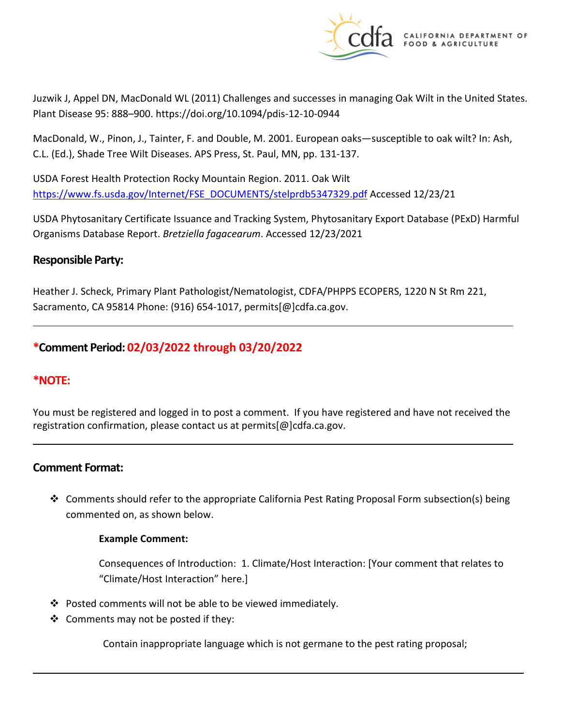

Juzwik J, Appel DN, MacDonald WL (2011) Challenges and successes in managing Oak Wilt in the United States. Plant Disease 95: 888–900. <https://doi.org/10.1094/pdis-12-10-0944>

MacDonald, W., Pinon, J., Tainter, F. and Double, M. 2001. European oaks—susceptible to oak wilt? In: Ash, C.L. (Ed.), Shade Tree Wilt Diseases. APS Press, St. Paul, MN, pp. 131-137.

USDA Forest Health Protection Rocky Mountain Region. 2011. Oak Wilt [https://www.fs.usda.gov/Internet/FSE\\_DOCUMENTS/stelprdb5347329.pdf](https://www.fs.usda.gov/Internet/FSE_DOCUMENTS/stelprdb5347329.pdf) Accessed 12/23/21

USDA Phytosanitary Certificate Issuance and Tracking System, Phytosanitary Export Database (PExD) Harmful Organisms Database Report. *Bretziella fagacearum*. Accessed 12/23/2021

## **Responsible Party:**

Heather J. Scheck, Primary Plant Pathologist/Nematologist, CDFA/PHPPS ECOPERS, 1220 N St Rm 221, Sacramento, CA 95814 Phone: (916) 654-1017, [permits\[@\]cdfa.ca.gov](https://permits[@]cdfa.ca.gov).

## **\*Comment Period: 02/03/2022 through 03/20/2022**

## **\*NOTE:**

You must be registered and logged in to post a comment. If you have registered and have not received the registration confirmation, please contact us at [permits\[@\]cdfa.ca.gov](https://permits[@]cdfa.ca.gov).

## **Comment Format:**

 Comments should refer to the appropriate California Pest Rating Proposal Form subsection(s) being commented on, as shown below.

#### **Example Comment:**

Consequences of Introduction: 1. Climate/Host Interaction: [Your comment that relates to "Climate/Host Interaction" here.]

- $\cdot \cdot$  Posted comments will not be able to be viewed immediately.
- $\clubsuit$  Comments may not be posted if they:

Contain inappropriate language which is not germane to the pest rating proposal;